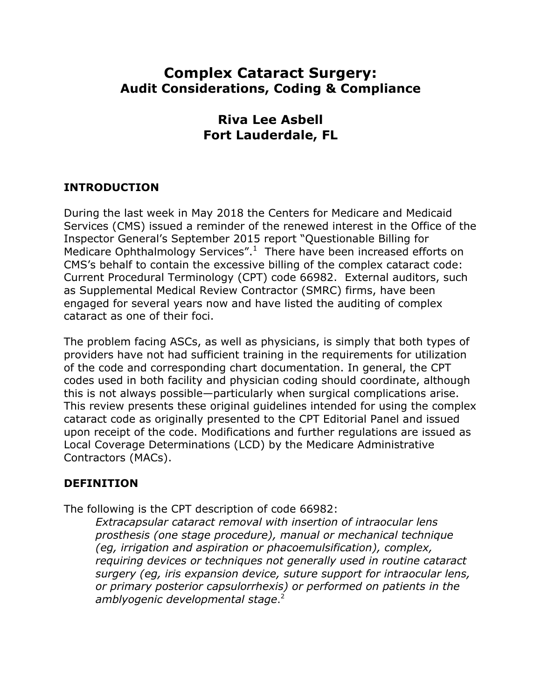# **Complex Cataract Surgery: Audit Considerations, Coding & Compliance**

## **Riva Lee Asbell Fort Lauderdale, FL**

#### **INTRODUCTION**

During the last week in May 2018 the Centers for Medicare and Medicaid Services (CMS) issued a reminder of the renewed interest in the Office of the Inspector General's September 2015 report "Questionable Billing for Medicare Ophthalmology Services". $1$  There have been increased efforts on CMS's behalf to contain the excessive billing of the complex cataract code: Current Procedural Terminology (CPT) code 66982. External auditors, such as Supplemental Medical Review Contractor (SMRC) firms, have been engaged for several years now and have listed the auditing of complex cataract as one of their foci.

The problem facing ASCs, as well as physicians, is simply that both types of providers have not had sufficient training in the requirements for utilization of the code and corresponding chart documentation. In general, the CPT codes used in both facility and physician coding should coordinate, although this is not always possible—particularly when surgical complications arise. This review presents these original guidelines intended for using the complex cataract code as originally presented to the CPT Editorial Panel and issued upon receipt of the code. Modifications and further regulations are issued as Local Coverage Determinations (LCD) by the Medicare Administrative Contractors (MACs).

#### **DEFINITION**

The following is the CPT description of code 66982:

*Extracapsular cataract removal with insertion of intraocular lens prosthesis (one stage procedure), manual or mechanical technique (eg, irrigation and aspiration or phacoemulsification), complex, requiring devices or techniques not generally used in routine cataract surgery (eg, iris expansion device, suture support for intraocular lens, or primary posterior capsulorrhexis) or performed on patients in the amblyogenic developmental stage*. 2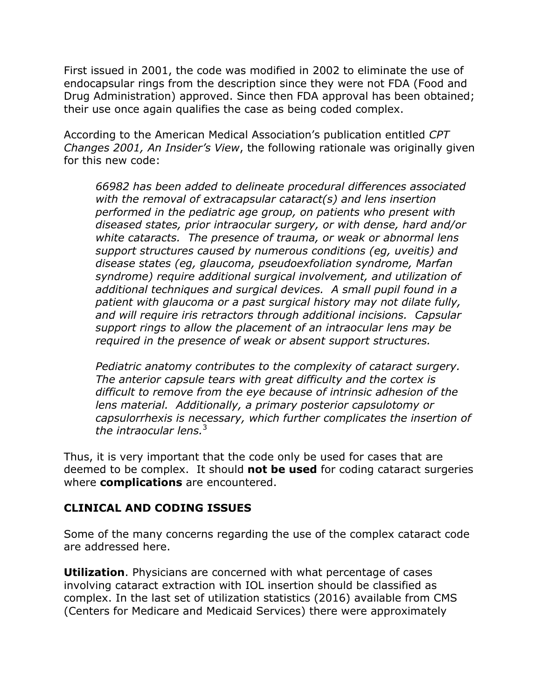First issued in 2001, the code was modified in 2002 to eliminate the use of endocapsular rings from the description since they were not FDA (Food and Drug Administration) approved. Since then FDA approval has been obtained; their use once again qualifies the case as being coded complex.

According to the American Medical Association's publication entitled *CPT Changes 2001, An Insider's View*, the following rationale was originally given for this new code:

*66982 has been added to delineate procedural differences associated with the removal of extracapsular cataract(s) and lens insertion performed in the pediatric age group, on patients who present with diseased states, prior intraocular surgery, or with dense, hard and/or white cataracts. The presence of trauma, or weak or abnormal lens support structures caused by numerous conditions (eg, uveitis) and disease states (eg, glaucoma, pseudoexfoliation syndrome, Marfan syndrome) require additional surgical involvement, and utilization of additional techniques and surgical devices. A small pupil found in a patient with glaucoma or a past surgical history may not dilate fully, and will require iris retractors through additional incisions. Capsular support rings to allow the placement of an intraocular lens may be required in the presence of weak or absent support structures.*

*Pediatric anatomy contributes to the complexity of cataract surgery. The anterior capsule tears with great difficulty and the cortex is difficult to remove from the eye because of intrinsic adhesion of the lens material. Additionally, a primary posterior capsulotomy or capsulorrhexis is necessary, which further complicates the insertion of the intraocular lens.*<sup>3</sup>

Thus, it is very important that the code only be used for cases that are deemed to be complex. It should **not be used** for coding cataract surgeries where **complications** are encountered.

#### **CLINICAL AND CODING ISSUES**

Some of the many concerns regarding the use of the complex cataract code are addressed here.

**Utilization**. Physicians are concerned with what percentage of cases involving cataract extraction with IOL insertion should be classified as complex. In the last set of utilization statistics (2016) available from CMS (Centers for Medicare and Medicaid Services) there were approximately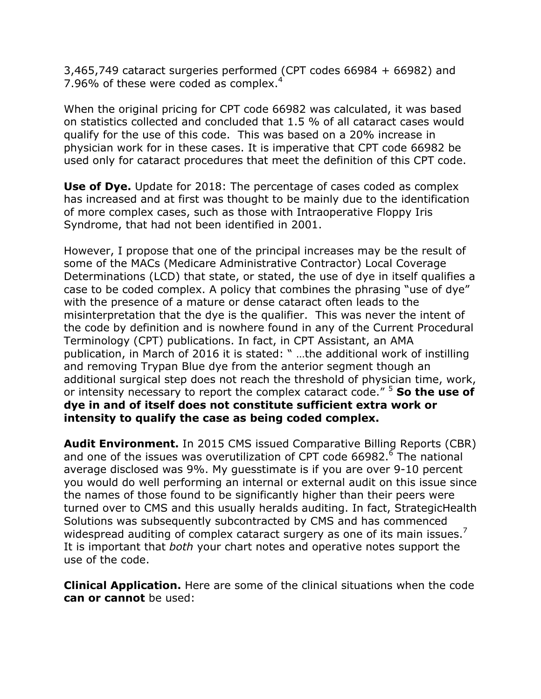3,465,749 cataract surgeries performed (CPT codes 66984 + 66982) and 7.96% of these were coded as complex.<sup>4</sup>

When the original pricing for CPT code 66982 was calculated, it was based on statistics collected and concluded that 1.5 % of all cataract cases would qualify for the use of this code. This was based on a 20% increase in physician work for in these cases. It is imperative that CPT code 66982 be used only for cataract procedures that meet the definition of this CPT code.

**Use of Dye.** Update for 2018: The percentage of cases coded as complex has increased and at first was thought to be mainly due to the identification of more complex cases, such as those with Intraoperative Floppy Iris Syndrome, that had not been identified in 2001.

However, I propose that one of the principal increases may be the result of some of the MACs (Medicare Administrative Contractor) Local Coverage Determinations (LCD) that state, or stated, the use of dye in itself qualifies a case to be coded complex. A policy that combines the phrasing "use of dye" with the presence of a mature or dense cataract often leads to the misinterpretation that the dye is the qualifier. This was never the intent of the code by definition and is nowhere found in any of the Current Procedural Terminology (CPT) publications. In fact, in CPT Assistant, an AMA publication, in March of 2016 it is stated: " …the additional work of instilling and removing Trypan Blue dye from the anterior segment though an additional surgical step does not reach the threshold of physician time, work, or intensity necessary to report the complex cataract code." 5 **So the use of dye in and of itself does not constitute sufficient extra work or intensity to qualify the case as being coded complex.**

**Audit Environment.** In 2015 CMS issued Comparative Billing Reports (CBR) and one of the issues was overutilization of CPT code 66982.<sup>6</sup> The national average disclosed was 9%. My guesstimate is if you are over 9-10 percent you would do well performing an internal or external audit on this issue since the names of those found to be significantly higher than their peers were turned over to CMS and this usually heralds auditing. In fact, StrategicHealth Solutions was subsequently subcontracted by CMS and has commenced widespread auditing of complex cataract surgery as one of its main issues.<sup>7</sup> It is important that *both* your chart notes and operative notes support the use of the code.

**Clinical Application.** Here are some of the clinical situations when the code **can or cannot** be used: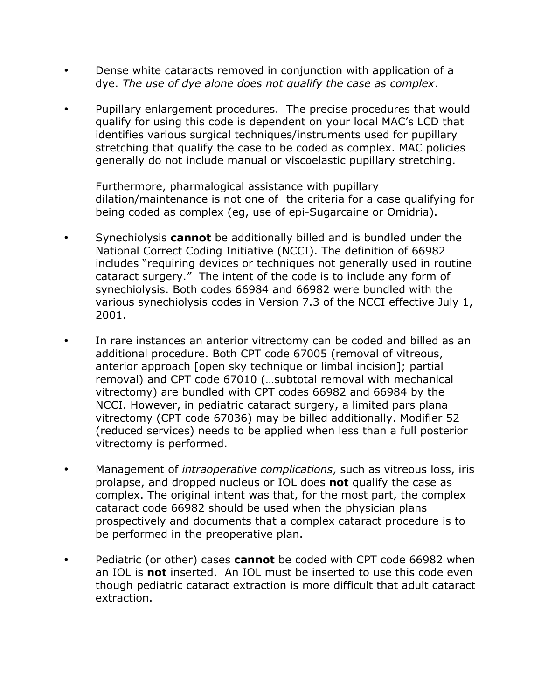- Dense white cataracts removed in conjunction with application of a dye. *The use of dye alone does not qualify the case as complex*.
- Pupillary enlargement procedures. The precise procedures that would qualify for using this code is dependent on your local MAC's LCD that identifies various surgical techniques/instruments used for pupillary stretching that qualify the case to be coded as complex. MAC policies generally do not include manual or viscoelastic pupillary stretching.

Furthermore, pharmalogical assistance with pupillary dilation/maintenance is not one of the criteria for a case qualifying for being coded as complex (eg, use of epi-Sugarcaine or Omidria).

- Synechiolysis **cannot** be additionally billed and is bundled under the National Correct Coding Initiative (NCCI). The definition of 66982 includes "requiring devices or techniques not generally used in routine cataract surgery." The intent of the code is to include any form of synechiolysis. Both codes 66984 and 66982 were bundled with the various synechiolysis codes in Version 7.3 of the NCCI effective July 1, 2001.
- In rare instances an anterior vitrectomy can be coded and billed as an additional procedure. Both CPT code 67005 (removal of vitreous, anterior approach [open sky technique or limbal incision]; partial removal) and CPT code 67010 (…subtotal removal with mechanical vitrectomy) are bundled with CPT codes 66982 and 66984 by the NCCI. However, in pediatric cataract surgery, a limited pars plana vitrectomy (CPT code 67036) may be billed additionally. Modifier 52 (reduced services) needs to be applied when less than a full posterior vitrectomy is performed.
- Management of *intraoperative complications*, such as vitreous loss, iris prolapse, and dropped nucleus or IOL does **not** qualify the case as complex. The original intent was that, for the most part, the complex cataract code 66982 should be used when the physician plans prospectively and documents that a complex cataract procedure is to be performed in the preoperative plan.
- Pediatric (or other) cases **cannot** be coded with CPT code 66982 when an IOL is **not** inserted. An IOL must be inserted to use this code even though pediatric cataract extraction is more difficult that adult cataract extraction.